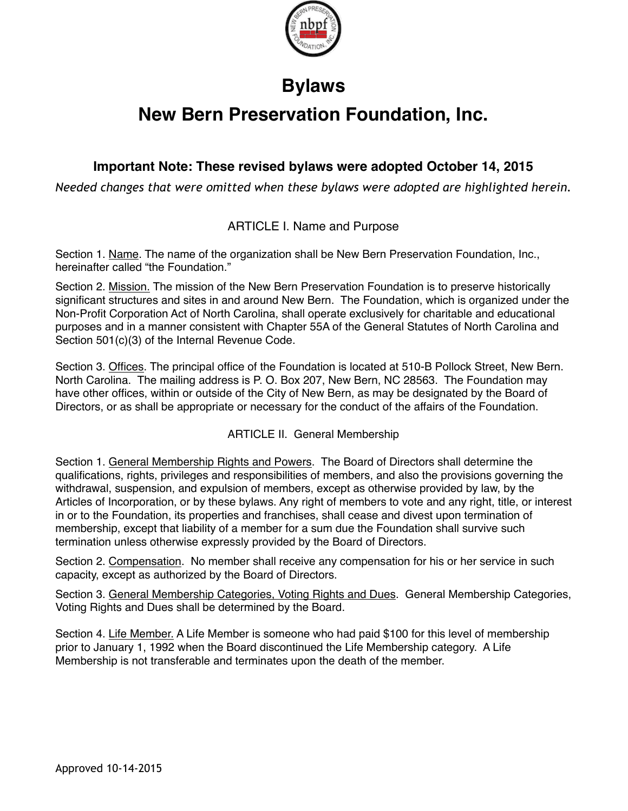

## **Bylaws**

# **New Bern Preservation Foundation, Inc.**

## **Important Note: These revised bylaws were adopted October 14, 2015**

*Needed changes that were omitted when these bylaws were adopted are highlighted herein.*

## ARTICLE I. Name and Purpose

Section 1. Name. The name of the organization shall be New Bern Preservation Foundation, Inc., hereinafter called "the Foundation."

Section 2. Mission. The mission of the New Bern Preservation Foundation is to preserve historically significant structures and sites in and around New Bern. The Foundation, which is organized under the Non-Profit Corporation Act of North Carolina, shall operate exclusively for charitable and educational purposes and in a manner consistent with Chapter 55A of the General Statutes of North Carolina and Section 501(c)(3) of the Internal Revenue Code.

Section 3. Offices. The principal office of the Foundation is located at 510-B Pollock Street, New Bern. North Carolina. The mailing address is P. O. Box 207, New Bern, NC 28563. The Foundation may have other offices, within or outside of the City of New Bern, as may be designated by the Board of Directors, or as shall be appropriate or necessary for the conduct of the affairs of the Foundation.

## ARTICLE II. General Membership

Section 1. General Membership Rights and Powers. The Board of Directors shall determine the qualifications, rights, privileges and responsibilities of members, and also the provisions governing the withdrawal, suspension, and expulsion of members, except as otherwise provided by law, by the Articles of Incorporation, or by these bylaws. Any right of members to vote and any right, title, or interest in or to the Foundation, its properties and franchises, shall cease and divest upon termination of membership, except that liability of a member for a sum due the Foundation shall survive such termination unless otherwise expressly provided by the Board of Directors.

Section 2. Compensation. No member shall receive any compensation for his or her service in such capacity, except as authorized by the Board of Directors.

Section 3. General Membership Categories, Voting Rights and Dues. General Membership Categories, Voting Rights and Dues shall be determined by the Board.

Section 4. Life Member. A Life Member is someone who had paid \$100 for this level of membership prior to January 1, 1992 when the Board discontinued the Life Membership category. A Life Membership is not transferable and terminates upon the death of the member.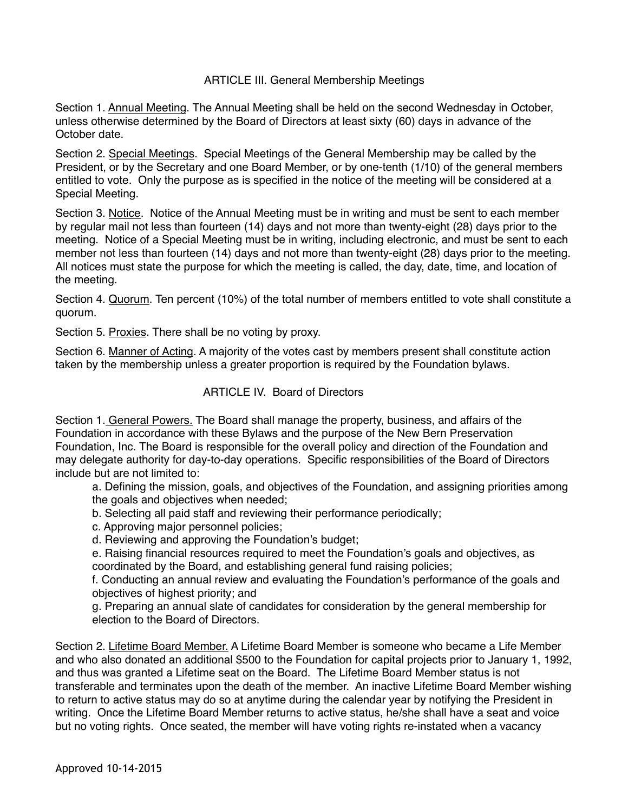#### ARTICLE III. General Membership Meetings

Section 1. Annual Meeting. The Annual Meeting shall be held on the second Wednesday in October, unless otherwise determined by the Board of Directors at least sixty (60) days in advance of the October date.

Section 2. Special Meetings. Special Meetings of the General Membership may be called by the President, or by the Secretary and one Board Member, or by one-tenth (1/10) of the general members entitled to vote. Only the purpose as is specified in the notice of the meeting will be considered at a Special Meeting.

Section 3. Notice. Notice of the Annual Meeting must be in writing and must be sent to each member by regular mail not less than fourteen (14) days and not more than twenty-eight (28) days prior to the meeting. Notice of a Special Meeting must be in writing, including electronic, and must be sent to each member not less than fourteen (14) days and not more than twenty-eight (28) days prior to the meeting. All notices must state the purpose for which the meeting is called, the day, date, time, and location of the meeting.

Section 4. Quorum. Ten percent (10%) of the total number of members entitled to vote shall constitute a quorum.

Section 5. Proxies. There shall be no voting by proxy.

Section 6. Manner of Acting. A majority of the votes cast by members present shall constitute action taken by the membership unless a greater proportion is required by the Foundation bylaws.

#### ARTICLE IV. Board of Directors

Section 1. General Powers. The Board shall manage the property, business, and affairs of the Foundation in accordance with these Bylaws and the purpose of the New Bern Preservation Foundation, Inc. The Board is responsible for the overall policy and direction of the Foundation and may delegate authority for day-to-day operations. Specific responsibilities of the Board of Directors include but are not limited to:

a. Defining the mission, goals, and objectives of the Foundation, and assigning priorities among the goals and objectives when needed;

- b. Selecting all paid staff and reviewing their performance periodically;
- c. Approving major personnel policies;
- d. Reviewing and approving the Foundation's budget;
- e. Raising financial resources required to meet the Foundation's goals and objectives, as coordinated by the Board, and establishing general fund raising policies;

f. Conducting an annual review and evaluating the Foundation's performance of the goals and objectives of highest priority; and

g. Preparing an annual slate of candidates for consideration by the general membership for election to the Board of Directors.

Section 2. Lifetime Board Member. A Lifetime Board Member is someone who became a Life Member and who also donated an additional \$500 to the Foundation for capital projects prior to January 1, 1992, and thus was granted a Lifetime seat on the Board. The Lifetime Board Member status is not transferable and terminates upon the death of the member. An inactive Lifetime Board Member wishing to return to active status may do so at anytime during the calendar year by notifying the President in writing. Once the Lifetime Board Member returns to active status, he/she shall have a seat and voice but no voting rights. Once seated, the member will have voting rights re-instated when a vacancy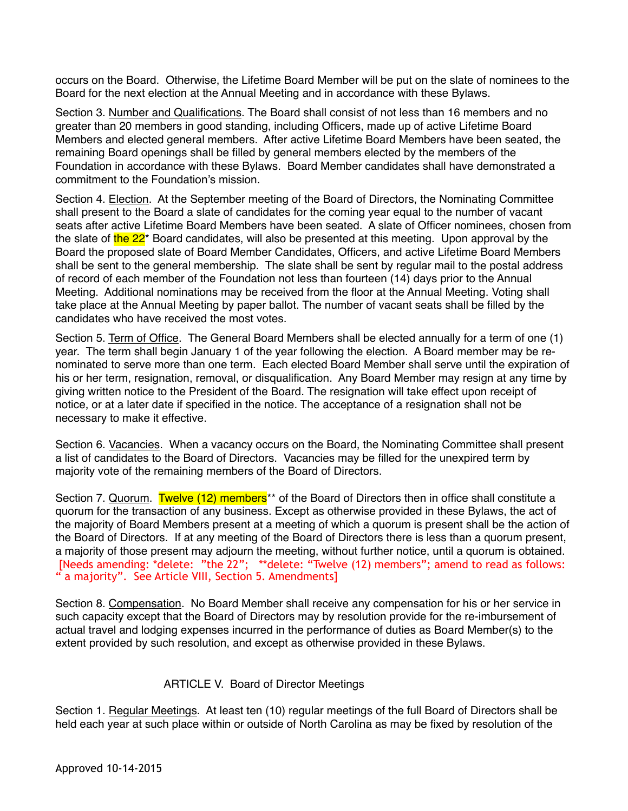occurs on the Board. Otherwise, the Lifetime Board Member will be put on the slate of nominees to the Board for the next election at the Annual Meeting and in accordance with these Bylaws.

Section 3. Number and Qualifications. The Board shall consist of not less than 16 members and no greater than 20 members in good standing, including Officers, made up of active Lifetime Board Members and elected general members. After active Lifetime Board Members have been seated, the remaining Board openings shall be filled by general members elected by the members of the Foundation in accordance with these Bylaws. Board Member candidates shall have demonstrated a commitment to the Foundation's mission.

Section 4. Election. At the September meeting of the Board of Directors, the Nominating Committee shall present to the Board a slate of candidates for the coming year equal to the number of vacant seats after active Lifetime Board Members have been seated. A slate of Officer nominees, chosen from the slate of the  $22^*$  Board candidates, will also be presented at this meeting. Upon approval by the Board the proposed slate of Board Member Candidates, Officers, and active Lifetime Board Members shall be sent to the general membership. The slate shall be sent by regular mail to the postal address of record of each member of the Foundation not less than fourteen (14) days prior to the Annual Meeting. Additional nominations may be received from the floor at the Annual Meeting. Voting shall take place at the Annual Meeting by paper ballot. The number of vacant seats shall be filled by the candidates who have received the most votes.

Section 5. Term of Office. The General Board Members shall be elected annually for a term of one (1) year. The term shall begin January 1 of the year following the election. A Board member may be renominated to serve more than one term. Each elected Board Member shall serve until the expiration of his or her term, resignation, removal, or disqualification. Any Board Member may resign at any time by giving written notice to the President of the Board. The resignation will take effect upon receipt of notice, or at a later date if specified in the notice. The acceptance of a resignation shall not be necessary to make it effective.

Section 6. Vacancies. When a vacancy occurs on the Board, the Nominating Committee shall present a list of candidates to the Board of Directors. Vacancies may be filled for the unexpired term by majority vote of the remaining members of the Board of Directors.

Section 7. Quorum. Twelve (12) members<sup>\*\*</sup> of the Board of Directors then in office shall constitute a quorum for the transaction of any business. Except as otherwise provided in these Bylaws, the act of the majority of Board Members present at a meeting of which a quorum is present shall be the action of the Board of Directors. If at any meeting of the Board of Directors there is less than a quorum present, a majority of those present may adjourn the meeting, without further notice, until a quorum is obtained. [Needs amending: \*delete: "the 22"; \*\*delete: "Twelve (12) members"; amend to read as follows: " a majority". See Article VIII, Section 5. Amendments]

Section 8. Compensation. No Board Member shall receive any compensation for his or her service in such capacity except that the Board of Directors may by resolution provide for the re-imbursement of actual travel and lodging expenses incurred in the performance of duties as Board Member(s) to the extent provided by such resolution, and except as otherwise provided in these Bylaws.

#### ARTICLE V. Board of Director Meetings

Section 1. Regular Meetings. At least ten (10) regular meetings of the full Board of Directors shall be held each year at such place within or outside of North Carolina as may be fixed by resolution of the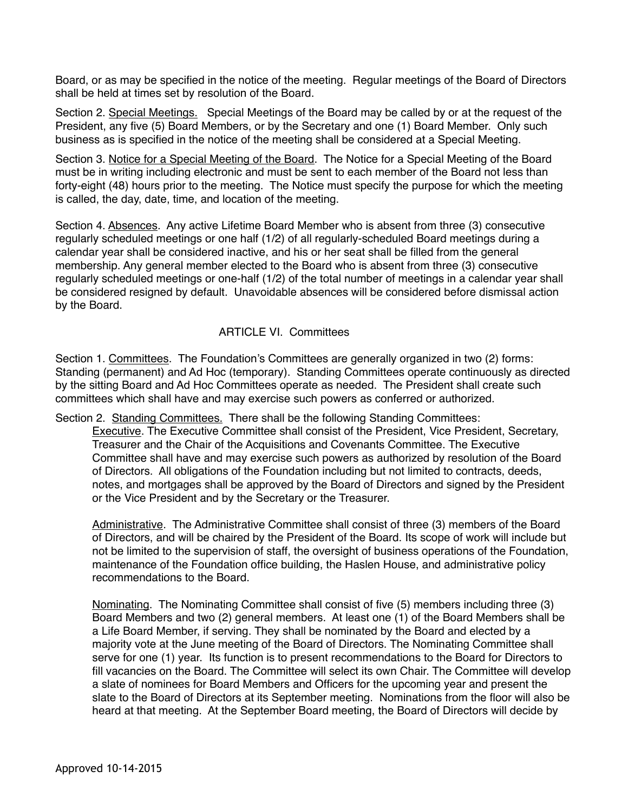Board, or as may be specified in the notice of the meeting. Regular meetings of the Board of Directors shall be held at times set by resolution of the Board.

Section 2. Special Meetings. Special Meetings of the Board may be called by or at the request of the President, any five (5) Board Members, or by the Secretary and one (1) Board Member. Only such business as is specified in the notice of the meeting shall be considered at a Special Meeting.

Section 3. Notice for a Special Meeting of the Board. The Notice for a Special Meeting of the Board must be in writing including electronic and must be sent to each member of the Board not less than forty-eight (48) hours prior to the meeting. The Notice must specify the purpose for which the meeting is called, the day, date, time, and location of the meeting.

Section 4. Absences. Any active Lifetime Board Member who is absent from three (3) consecutive regularly scheduled meetings or one half (1/2) of all regularly-scheduled Board meetings during a calendar year shall be considered inactive, and his or her seat shall be filled from the general membership. Any general member elected to the Board who is absent from three (3) consecutive regularly scheduled meetings or one-half (1/2) of the total number of meetings in a calendar year shall be considered resigned by default. Unavoidable absences will be considered before dismissal action by the Board.

#### ARTICLE VI. Committees

Section 1. Committees. The Foundation's Committees are generally organized in two (2) forms: Standing (permanent) and Ad Hoc (temporary). Standing Committees operate continuously as directed by the sitting Board and Ad Hoc Committees operate as needed. The President shall create such committees which shall have and may exercise such powers as conferred or authorized.

Section 2. Standing Committees. There shall be the following Standing Committees:

Executive. The Executive Committee shall consist of the President, Vice President, Secretary, Treasurer and the Chair of the Acquisitions and Covenants Committee. The Executive Committee shall have and may exercise such powers as authorized by resolution of the Board of Directors. All obligations of the Foundation including but not limited to contracts, deeds, notes, and mortgages shall be approved by the Board of Directors and signed by the President or the Vice President and by the Secretary or the Treasurer.

Administrative. The Administrative Committee shall consist of three (3) members of the Board of Directors, and will be chaired by the President of the Board. Its scope of work will include but not be limited to the supervision of staff, the oversight of business operations of the Foundation, maintenance of the Foundation office building, the Haslen House, and administrative policy recommendations to the Board.

Nominating. The Nominating Committee shall consist of five (5) members including three (3) Board Members and two (2) general members. At least one (1) of the Board Members shall be a Life Board Member, if serving. They shall be nominated by the Board and elected by a majority vote at the June meeting of the Board of Directors. The Nominating Committee shall serve for one (1) year. Its function is to present recommendations to the Board for Directors to fill vacancies on the Board. The Committee will select its own Chair. The Committee will develop a slate of nominees for Board Members and Officers for the upcoming year and present the slate to the Board of Directors at its September meeting. Nominations from the floor will also be heard at that meeting. At the September Board meeting, the Board of Directors will decide by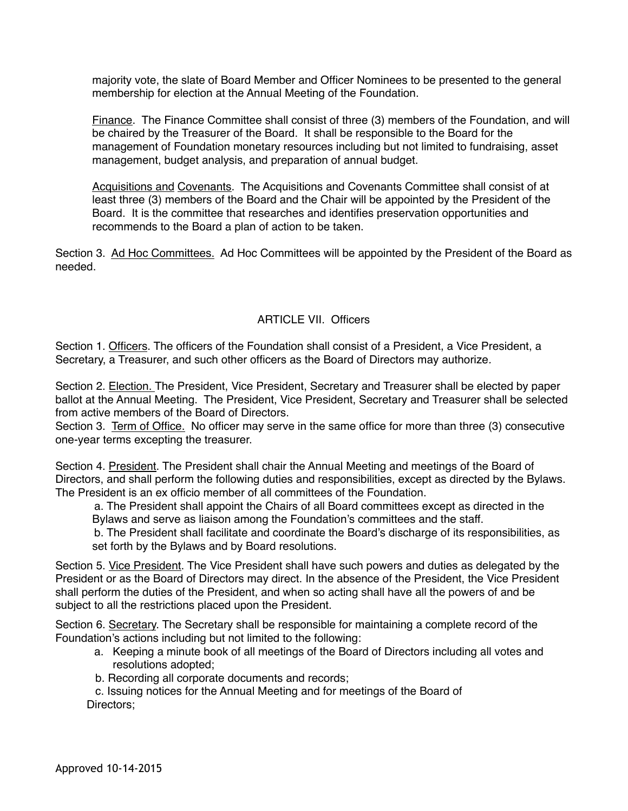majority vote, the slate of Board Member and Officer Nominees to be presented to the general membership for election at the Annual Meeting of the Foundation.

Finance. The Finance Committee shall consist of three (3) members of the Foundation, and will be chaired by the Treasurer of the Board. It shall be responsible to the Board for the management of Foundation monetary resources including but not limited to fundraising, asset management, budget analysis, and preparation of annual budget.

Acquisitions and Covenants. The Acquisitions and Covenants Committee shall consist of at least three (3) members of the Board and the Chair will be appointed by the President of the Board. It is the committee that researches and identifies preservation opportunities and recommends to the Board a plan of action to be taken.

Section 3. Ad Hoc Committees. Ad Hoc Committees will be appointed by the President of the Board as needed.

#### ARTICLE VII. Officers

Section 1. Officers. The officers of the Foundation shall consist of a President, a Vice President, a Secretary, a Treasurer, and such other officers as the Board of Directors may authorize*.* 

Section 2. Election. The President, Vice President, Secretary and Treasurer shall be elected by paper ballot at the Annual Meeting. The President, Vice President, Secretary and Treasurer shall be selected from active members of the Board of Directors.

Section 3. Term of Office. No officer may serve in the same office for more than three (3) consecutive one-year terms excepting the treasurer.

Section 4. President. The President shall chair the Annual Meeting and meetings of the Board of Directors, and shall perform the following duties and responsibilities, except as directed by the Bylaws. The President is an ex officio member of all committees of the Foundation.

a. The President shall appoint the Chairs of all Board committees except as directed in the Bylaws and serve as liaison among the Foundation's committees and the staff.

b. The President shall facilitate and coordinate the Board's discharge of its responsibilities, as set forth by the Bylaws and by Board resolutions.

Section 5. Vice President. The Vice President shall have such powers and duties as delegated by the President or as the Board of Directors may direct. In the absence of the President, the Vice President shall perform the duties of the President, and when so acting shall have all the powers of and be subject to all the restrictions placed upon the President.

Section 6. Secretary. The Secretary shall be responsible for maintaining a complete record of the Foundation's actions including but not limited to the following:

- a. Keeping a minute book of all meetings of the Board of Directors including all votes and resolutions adopted;
- b. Recording all corporate documents and records;

 c. Issuing notices for the Annual Meeting and for meetings of the Board of Directors;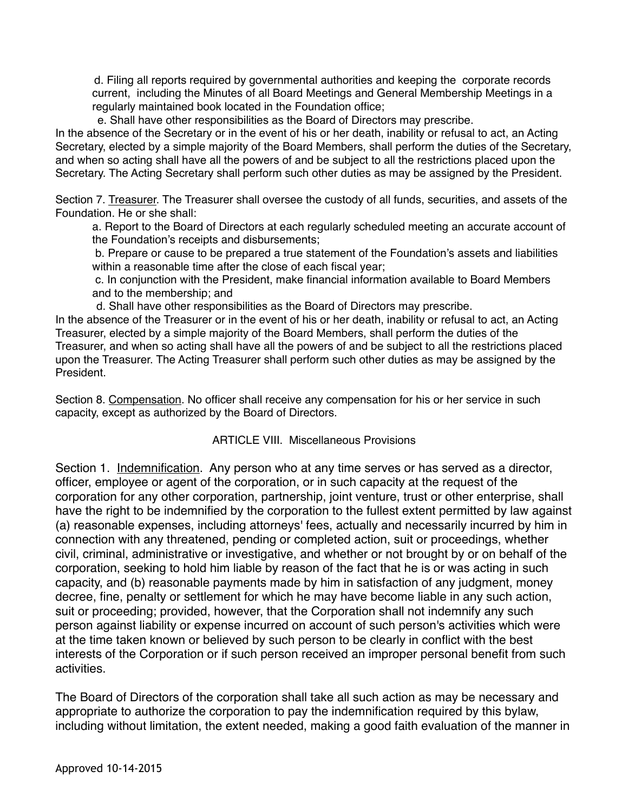d. Filing all reports required by governmental authorities and keeping the corporate records current, including the Minutes of all Board Meetings and General Membership Meetings in a regularly maintained book located in the Foundation office;

e. Shall have other responsibilities as the Board of Directors may prescribe.

In the absence of the Secretary or in the event of his or her death, inability or refusal to act, an Acting Secretary, elected by a simple majority of the Board Members, shall perform the duties of the Secretary, and when so acting shall have all the powers of and be subject to all the restrictions placed upon the Secretary. The Acting Secretary shall perform such other duties as may be assigned by the President.

Section 7. Treasurer. The Treasurer shall oversee the custody of all funds, securities, and assets of the Foundation. He or she shall:

a. Report to the Board of Directors at each regularly scheduled meeting an accurate account of the Foundation's receipts and disbursements;

b. Prepare or cause to be prepared a true statement of the Foundation's assets and liabilities within a reasonable time after the close of each fiscal year;

c. In conjunction with the President, make financial information available to Board Members and to the membership; and

d. Shall have other responsibilities as the Board of Directors may prescribe.

In the absence of the Treasurer or in the event of his or her death, inability or refusal to act, an Acting Treasurer, elected by a simple majority of the Board Members, shall perform the duties of the Treasurer, and when so acting shall have all the powers of and be subject to all the restrictions placed upon the Treasurer. The Acting Treasurer shall perform such other duties as may be assigned by the President.

Section 8. Compensation. No officer shall receive any compensation for his or her service in such capacity, except as authorized by the Board of Directors.

#### ARTICLE VIII. Miscellaneous Provisions

Section 1. Indemnification. Any person who at any time serves or has served as a director, officer, employee or agent of the corporation, or in such capacity at the request of the corporation for any other corporation, partnership, joint venture, trust or other enterprise, shall have the right to be indemnified by the corporation to the fullest extent permitted by law against (a) reasonable expenses, including attorneys' fees, actually and necessarily incurred by him in connection with any threatened, pending or completed action, suit or proceedings, whether civil, criminal, administrative or investigative, and whether or not brought by or on behalf of the corporation, seeking to hold him liable by reason of the fact that he is or was acting in such capacity, and (b) reasonable payments made by him in satisfaction of any judgment, money decree, fine, penalty or settlement for which he may have become liable in any such action, suit or proceeding; provided, however, that the Corporation shall not indemnify any such person against liability or expense incurred on account of such person's activities which were at the time taken known or believed by such person to be clearly in conflict with the best interests of the Corporation or if such person received an improper personal benefit from such activities.

The Board of Directors of the corporation shall take all such action as may be necessary and appropriate to authorize the corporation to pay the indemnification required by this bylaw, including without limitation, the extent needed, making a good faith evaluation of the manner in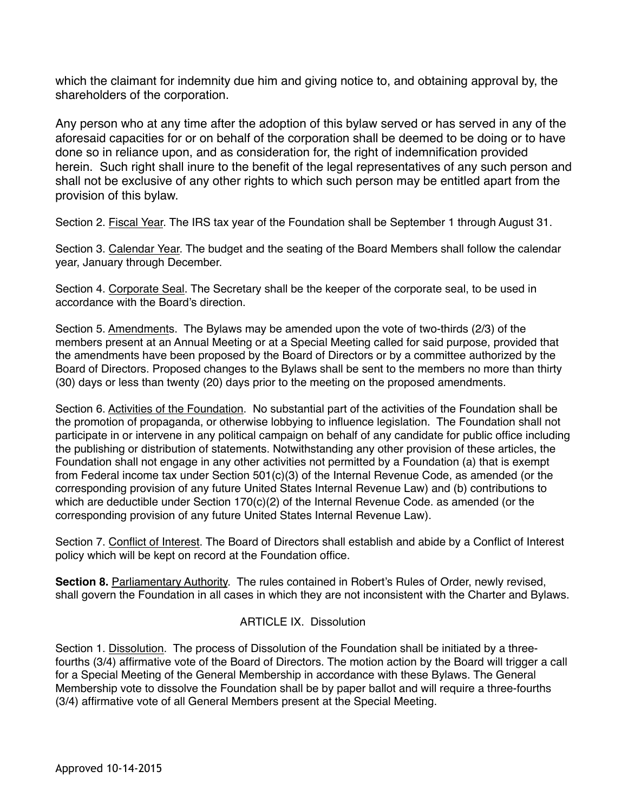which the claimant for indemnity due him and giving notice to, and obtaining approval by, the shareholders of the corporation.

Any person who at any time after the adoption of this bylaw served or has served in any of the aforesaid capacities for or on behalf of the corporation shall be deemed to be doing or to have done so in reliance upon, and as consideration for, the right of indemnification provided herein. Such right shall inure to the benefit of the legal representatives of any such person and shall not be exclusive of any other rights to which such person may be entitled apart from the provision of this bylaw.

Section 2. Fiscal Year. The IRS tax year of the Foundation shall be September 1 through August 31.

Section 3. Calendar Year. The budget and the seating of the Board Members shall follow the calendar year, January through December.

Section 4. Corporate Seal. The Secretary shall be the keeper of the corporate seal, to be used in accordance with the Board's direction.

Section 5. Amendments. The Bylaws may be amended upon the vote of two-thirds (2/3) of the members present at an Annual Meeting or at a Special Meeting called for said purpose, provided that the amendments have been proposed by the Board of Directors or by a committee authorized by the Board of Directors. Proposed changes to the Bylaws shall be sent to the members no more than thirty (30) days or less than twenty (20) days prior to the meeting on the proposed amendments.

Section 6. Activities of the Foundation. No substantial part of the activities of the Foundation shall be the promotion of propaganda, or otherwise lobbying to influence legislation. The Foundation shall not participate in or intervene in any political campaign on behalf of any candidate for public office including the publishing or distribution of statements. Notwithstanding any other provision of these articles, the Foundation shall not engage in any other activities not permitted by a Foundation (a) that is exempt from Federal income tax under Section 501(c)(3) of the Internal Revenue Code, as amended (or the corresponding provision of any future United States Internal Revenue Law) and (b) contributions to which are deductible under Section 170(c)(2) of the Internal Revenue Code. as amended (or the corresponding provision of any future United States Internal Revenue Law).

Section 7. Conflict of Interest. The Board of Directors shall establish and abide by a Conflict of Interest policy which will be kept on record at the Foundation office.

**Section 8.** Parliamentary Authority. The rules contained in Robert's Rules of Order, newly revised, shall govern the Foundation in all cases in which they are not inconsistent with the Charter and Bylaws.

#### ARTICLE IX. Dissolution

Section 1. Dissolution. The process of Dissolution of the Foundation shall be initiated by a threefourths (3/4) affirmative vote of the Board of Directors. The motion action by the Board will trigger a call for a Special Meeting of the General Membership in accordance with these Bylaws. The General Membership vote to dissolve the Foundation shall be by paper ballot and will require a three-fourths (3/4) affirmative vote of all General Members present at the Special Meeting.